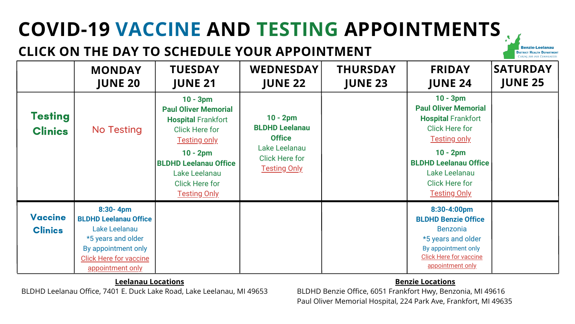# **JUNE 21 JUNE 22 JUNE 23 JUNE 24 JUNE 25**

# **COVID-19 VACCINE AND TESTING APPOINTMENTS**

# **CLICK ON THE DAY TO SCHEDULE YOUR APPOINTMENT**

## **Leelanau Locations**

BLDHD Leelanau Office, 7401 E. Duck Lake Road, Lake Leelanau, MI 49653

### **Benzie Locations**

BLDHD Benzie Office, 6051 Frankfort Hwy, Benzonia, MI 49616 Paul Oliver Memorial Hospital, 224 Park Ave, Frankfort, MI 49635

**Benzie-Leelanau DISTRICT HEALTH DEPARTMENT** CARING FOR OUR COMMUT

|                                  | <b>MONDAY</b><br><b>JUNE 20</b>                                                                                                                                 | <b>TUESDAY</b><br><b>JUNE 21</b>                                                                                                                                                                                                      | <b>WEDNESDAY</b><br><b>JUNE 22</b>                                                                                    | <b>THURSDAY</b><br><b>JUNE 23</b> | <b>FRIDAY</b><br><b>JUNE 24</b>                                                                                                                                                                                                       | <b>SATURDAY</b><br><b>JUNE 25</b> |
|----------------------------------|-----------------------------------------------------------------------------------------------------------------------------------------------------------------|---------------------------------------------------------------------------------------------------------------------------------------------------------------------------------------------------------------------------------------|-----------------------------------------------------------------------------------------------------------------------|-----------------------------------|---------------------------------------------------------------------------------------------------------------------------------------------------------------------------------------------------------------------------------------|-----------------------------------|
| <b>Testing</b><br><b>Clinics</b> | <b>No Testing</b>                                                                                                                                               | $10 - 3pm$<br><b>Paul Oliver Memorial</b><br><b>Hospital Frankfort</b><br><b>Click Here for</b><br><b>Testing only</b><br>$10 - 2pm$<br><b>BLDHD Leelanau Office</b><br>Lake Leelanau<br><b>Click Here for</b><br><b>Testing Only</b> | $10 - 2pm$<br><b>BLDHD Leelanau</b><br><b>Office</b><br>Lake Leelanau<br><b>Click Here for</b><br><b>Testing Only</b> |                                   | $10 - 3pm$<br><b>Paul Oliver Memorial</b><br><b>Hospital Frankfort</b><br><b>Click Here for</b><br><b>Testing only</b><br>$10 - 2pm$<br><b>BLDHD Leelanau Office</b><br>Lake Leelanau<br><b>Click Here for</b><br><b>Testing Only</b> |                                   |
| <b>Vaccine</b><br><b>Clinics</b> | $8:30 - 4pm$<br><b>BLDHD Leelanau Office</b><br>Lake Leelanau<br>*5 years and older<br>By appointment only<br><b>Click Here for vaccine</b><br>appointment only |                                                                                                                                                                                                                                       |                                                                                                                       |                                   | 8:30-4:00pm<br><b>BLDHD Benzie Office</b><br><b>Benzonia</b><br>*5 years and older<br>By appointment only<br><b>Click Here for vaccine</b><br>appointment only                                                                        |                                   |

### **8:30-4:00pm BLDHD Benzie Office**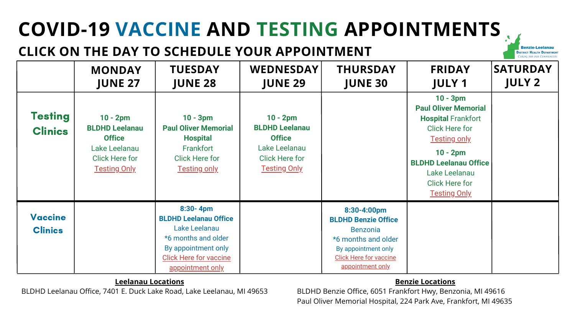# **COVID-19 VACCINE AND TESTING APPOINTMENTS**

# **CLICK ON THE DAY TO SCHEDULE YOUR APPOINTMENT**

## **Leelanau Locations**

BLDHD Leelanau Office, 7401 E. Duck Lake Road, Lake Leelanau, MI 49653

## **Benzie Locations**

BLDHD Benzie Office, 6051 Frankfort Hwy, Benzonia, MI 49616 Paul Oliver Memorial Hospital, 224 Park Ave, Frankfort, MI 49635

# **Benzie-Leelanau DISTRICT HEALTH DEPARTMENT** CARING FOR OUR COMMU

|                                  | <b>MONDAY</b><br><b>JUNE 27</b>                                                                                       | <b>TUESDAY</b><br><b>JUNE 28</b>                                                                                                                                 | <b>WEDNESDAY</b><br><b>JUNE 29</b>                                                                                    | <b>THURSDAY</b><br><b>JUNE 30</b>                                                                                                                               | <b>FRIDAY</b><br><b>JULY 1</b>                                                                                                                                                                                                        | <b>SATURDAY</b><br><b>JULY 2</b> |
|----------------------------------|-----------------------------------------------------------------------------------------------------------------------|------------------------------------------------------------------------------------------------------------------------------------------------------------------|-----------------------------------------------------------------------------------------------------------------------|-----------------------------------------------------------------------------------------------------------------------------------------------------------------|---------------------------------------------------------------------------------------------------------------------------------------------------------------------------------------------------------------------------------------|----------------------------------|
| <b>Testing</b><br><b>Clinics</b> | $10 - 2pm$<br><b>BLDHD Leelanau</b><br><b>Office</b><br>Lake Leelanau<br><b>Click Here for</b><br><b>Testing Only</b> | $10 - 3pm$<br><b>Paul Oliver Memorial</b><br><b>Hospital</b><br>Frankfort<br><b>Click Here for</b><br><b>Testing only</b>                                        | $10 - 2pm$<br><b>BLDHD Leelanau</b><br><b>Office</b><br>Lake Leelanau<br><b>Click Here for</b><br><b>Testing Only</b> |                                                                                                                                                                 | $10 - 3pm$<br><b>Paul Oliver Memorial</b><br><b>Hospital Frankfort</b><br><b>Click Here for</b><br><b>Testing only</b><br>$10 - 2pm$<br><b>BLDHD Leelanau Office</b><br>Lake Leelanau<br><b>Click Here for</b><br><b>Testing Only</b> |                                  |
| <b>Vaccine</b><br><b>Clinics</b> |                                                                                                                       | $8:30 - 4pm$<br><b>BLDHD Leelanau Office</b><br>Lake Leelanau<br>*6 months and older<br>By appointment only<br><b>Click Here for vaccine</b><br>appointment only |                                                                                                                       | 8:30-4:00pm<br><b>BLDHD Benzie Office</b><br><b>Benzonia</b><br>*6 months and older<br>By appointment only<br><b>Click Here for vaccine</b><br>appointment only |                                                                                                                                                                                                                                       |                                  |

# **10 - 3pm Paul Oliver Memorial Hospital** Frankfort Click Here for [Testing](https://www.solvhealth.com/book-online/AXeDl2) only

## **10 - 2pm BLDHD Leelanau Office**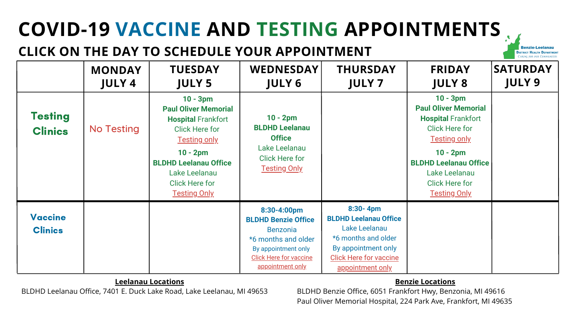# **COVID-19 VACCINE AND TESTING APPOINTMENTS**

# **CLICK ON THE DAY TO SCHEDULE YOUR APPOINTMENT**

## **Leelanau Locations**

BLDHD Leelanau Office, 7401 E. Duck Lake Road, Lake Leelanau, MI 49653

## **Benzie Locations**

BLDHD Benzie Office, 6051 Frankfort Hwy, Benzonia, MI 49616 Paul Oliver Memorial Hospital, 224 Park Ave, Frankfort, MI 49635

**Benzie-Leelanau DISTRICT HEALTH DEPARTMENT** CARING FOR OUR COMMU

| <b>FRIDAY</b> |  |
|---------------|--|
| <b>JULY 8</b> |  |

|                                  | <b>MONDAY</b><br><b>JULY 4</b> | <b>TUESDAY</b><br><b>JULY 5</b>                                                                                                                                                                                                       | <b>WEDNESDAY</b><br><b>JULY 6</b>                                                                                                                               | <b>THURSDAY</b><br><b>JULY 7</b>                                                                                                                                        | <b>FRIDAY</b><br><b>JULY 8</b>                                                                                                                                                                                                        | <b>SATURDAY</b><br><b>JULY 9</b> |
|----------------------------------|--------------------------------|---------------------------------------------------------------------------------------------------------------------------------------------------------------------------------------------------------------------------------------|-----------------------------------------------------------------------------------------------------------------------------------------------------------------|-------------------------------------------------------------------------------------------------------------------------------------------------------------------------|---------------------------------------------------------------------------------------------------------------------------------------------------------------------------------------------------------------------------------------|----------------------------------|
| <b>Testing</b><br><b>Clinics</b> | <b>No Testing</b>              | $10 - 3pm$<br><b>Paul Oliver Memorial</b><br><b>Hospital Frankfort</b><br><b>Click Here for</b><br><b>Testing only</b><br>$10 - 2pm$<br><b>BLDHD Leelanau Office</b><br>Lake Leelanau<br><b>Click Here for</b><br><b>Testing Only</b> | $10 - 2pm$<br><b>BLDHD Leelanau</b><br><b>Office</b><br>Lake Leelanau<br><b>Click Here for</b><br><b>Testing Only</b>                                           |                                                                                                                                                                         | $10 - 3pm$<br><b>Paul Oliver Memorial</b><br><b>Hospital Frankfort</b><br><b>Click Here for</b><br><b>Testing only</b><br>$10 - 2pm$<br><b>BLDHD Leelanau Office</b><br>Lake Leelanau<br><b>Click Here for</b><br><b>Testing Only</b> |                                  |
| <b>Vaccine</b><br><b>Clinics</b> |                                |                                                                                                                                                                                                                                       | 8:30-4:00pm<br><b>BLDHD Benzie Office</b><br><b>Benzonia</b><br>*6 months and older<br>By appointment only<br><b>Click Here for vaccine</b><br>appointment only | $8:30 - 4pm$<br><b>BLDHD Leelanau Office</b><br>Lake Leelanau<br><b>*6 months and older</b><br>By appointment only<br><b>Click Here for vaccine</b><br>appointment only |                                                                                                                                                                                                                                       |                                  |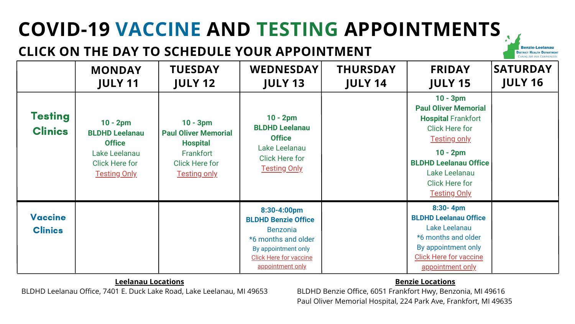# **COVID-19 VACCINE AND TESTING APPOINTMENTS**

# **CLICK ON THE DAY TO SCHEDULE YOUR APPOINTMENT**

## **Leelanau Locations**

BLDHD Leelanau Office, 7401 E. Duck Lake Road, Lake Leelanau, MI 49653

### **Benzie Locations**

BLDHD Benzie Office, 6051 Frankfort Hwy, Benzonia, MI 49616 Paul Oliver Memorial Hospital, 224 Park Ave, Frankfort, MI 49635

**Benzie-Leelanau DISTRICT HEALTH DEPARTMENT** Caring for our Commun

|                                  | <b>MONDAY</b><br><b>JULY 11</b>                                                                                       | <b>TUESDAY</b><br><b>JULY 12</b>                                                                                          | <b>WEDNESDAY</b><br><b>JULY 13</b>                                                                                                                              | <b>THURSDAY</b><br><b>JULY 14</b> | <b>FRIDAY</b><br><b>JULY 15</b>                                                                                                                                                                                                       | <b>SATURDAY</b><br><b>JULY 16</b> |
|----------------------------------|-----------------------------------------------------------------------------------------------------------------------|---------------------------------------------------------------------------------------------------------------------------|-----------------------------------------------------------------------------------------------------------------------------------------------------------------|-----------------------------------|---------------------------------------------------------------------------------------------------------------------------------------------------------------------------------------------------------------------------------------|-----------------------------------|
| <b>Testing</b><br><b>Clinics</b> | $10 - 2pm$<br><b>BLDHD Leelanau</b><br><b>Office</b><br>Lake Leelanau<br><b>Click Here for</b><br><b>Testing Only</b> | $10 - 3pm$<br><b>Paul Oliver Memorial</b><br><b>Hospital</b><br>Frankfort<br><b>Click Here for</b><br><b>Testing only</b> | $10 - 2pm$<br><b>BLDHD Leelanau</b><br><b>Office</b><br>Lake Leelanau<br><b>Click Here for</b><br><b>Testing Only</b>                                           |                                   | $10 - 3pm$<br><b>Paul Oliver Memorial</b><br><b>Hospital Frankfort</b><br><b>Click Here for</b><br><b>Testing only</b><br>$10 - 2pm$<br><b>BLDHD Leelanau Office</b><br>Lake Leelanau<br><b>Click Here for</b><br><u>Testing Only</u> |                                   |
| <b>Vaccine</b><br><b>Clinics</b> |                                                                                                                       |                                                                                                                           | 8:30-4:00pm<br><b>BLDHD Benzie Office</b><br><b>Benzonia</b><br>*6 months and older<br>By appointment only<br><b>Click Here for vaccine</b><br>appointment only |                                   | $8:30 - 4pm$<br><b>BLDHD Leelanau Office</b><br>Lake Leelanau<br>*6 months and older<br>By appointment only<br><b>Click Here for vaccine</b><br>appointment only                                                                      |                                   |

### **[8:30-](https://ph-benzieleelanau.as.me/LeelanauOfficeImmunizations456) 4pm BLDHD [Leelanau](https://ph-benzieleelanau.as.me/LeelanauOfficeImmunizations456) Office**